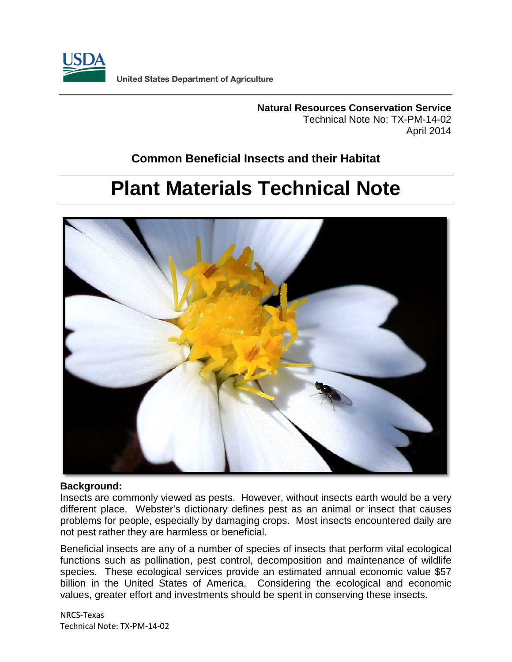

**Natural Resources Conservation Service** Technical Note No: TX-PM-14-02 April 2014

## **Common Beneficial Insects and their Habitat**

# **Plant Materials Technical Note**



## **Background:**

Insects are commonly viewed as pests. However, without insects earth would be a very different place. Webster's dictionary defines pest as an animal or insect that causes problems for people, especially by damaging crops. Most insects encountered daily are not pest rather they are harmless or beneficial.

Beneficial insects are any of a number of species of insects that perform vital ecological functions such as pollination, pest control, decomposition and maintenance of wildlife species. These ecological services provide an estimated annual economic value \$57 billion in the United States of America. Considering the ecological and economic values, greater effort and investments should be spent in conserving these insects.

NRCS-Texas Technical Note: TX-PM-14-02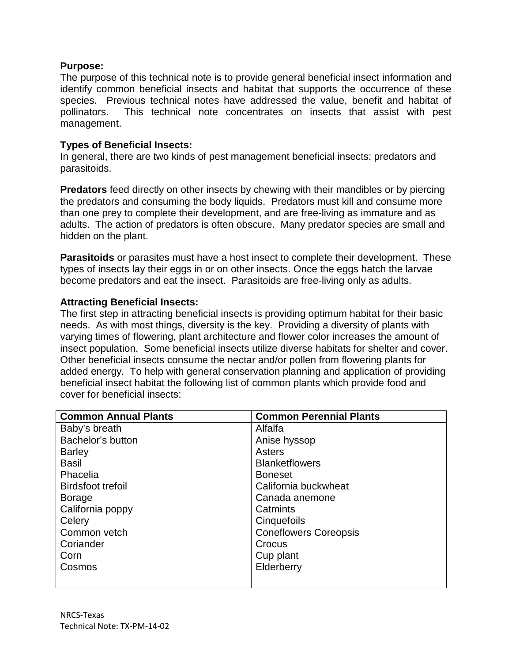## **Purpose:**

The purpose of this technical note is to provide general beneficial insect information and identify common beneficial insects and habitat that supports the occurrence of these species. Previous technical notes have addressed the value, benefit and habitat of pollinators. This technical note concentrates on insects that assist with pest management.

## **Types of Beneficial Insects:**

In general, there are two kinds of pest management beneficial insects: predators and parasitoids.

**Predators** feed directly on other insects by chewing with their mandibles or by piercing the predators and consuming the body liquids. Predators must kill and consume more than one prey to complete their development, and are free-living as immature and as adults. The action of predators is often obscure. Many predator species are small and hidden on the plant.

**Parasitoids** or parasites must have a host insect to complete their development. These types of insects lay their eggs in or on other insects. Once the eggs hatch the larvae become predators and eat the insect. Parasitoids are free-living only as adults.

## **Attracting Beneficial Insects:**

The first step in attracting beneficial insects is providing optimum habitat for their basic needs. As with most things, diversity is the key. Providing a diversity of plants with varying times of flowering, plant architecture and flower color increases the amount of insect population. Some beneficial insects utilize diverse habitats for shelter and cover. Other beneficial insects consume the nectar and/or pollen from flowering plants for added energy. To help with general conservation planning and application of providing beneficial insect habitat the following list of common plants which provide food and cover for beneficial insects:

| <b>Common Annual Plants</b> | <b>Common Perennial Plants</b> |
|-----------------------------|--------------------------------|
| Baby's breath               | Alfalfa                        |
| Bachelor's button           | Anise hyssop                   |
| <b>Barley</b>               | Asters                         |
| <b>Basil</b>                | <b>Blanketflowers</b>          |
| Phacelia                    | <b>Boneset</b>                 |
| <b>Birdsfoot trefoil</b>    | California buckwheat           |
| <b>Borage</b>               | Canada anemone                 |
| California poppy            | Catmints                       |
| Celery                      | Cinquefoils                    |
| Common vetch                | <b>Coneflowers Coreopsis</b>   |
| Coriander                   | Crocus                         |
| Corn                        | Cup plant                      |
| Cosmos                      | Elderberry                     |
|                             |                                |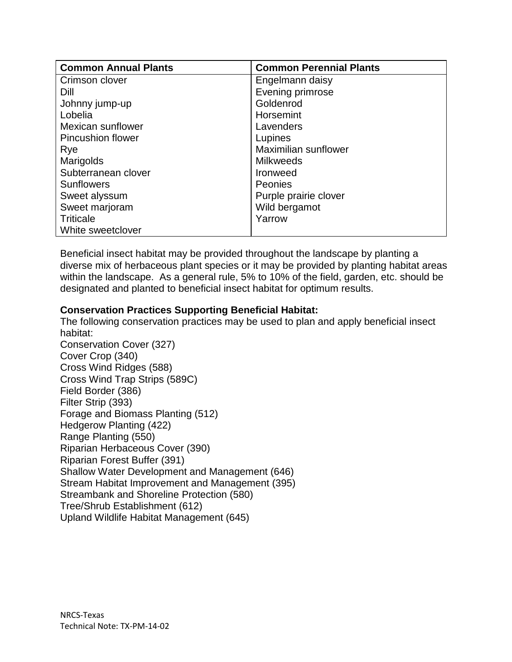| <b>Common Annual Plants</b> | <b>Common Perennial Plants</b> |
|-----------------------------|--------------------------------|
| Crimson clover              | Engelmann daisy                |
| Dill                        | Evening primrose               |
| Johnny jump-up              | Goldenrod                      |
| Lobelia                     | Horsemint                      |
| Mexican sunflower           | Lavenders                      |
| <b>Pincushion flower</b>    | Lupines                        |
| Rye                         | Maximilian sunflower           |
| Marigolds                   | <b>Milkweeds</b>               |
| Subterranean clover         | <b>Ironweed</b>                |
| <b>Sunflowers</b>           | <b>Peonies</b>                 |
| Sweet alyssum               | Purple prairie clover          |
| Sweet marjoram              | Wild bergamot                  |
| <b>Triticale</b>            | Yarrow                         |
| White sweetclover           |                                |

Beneficial insect habitat may be provided throughout the landscape by planting a diverse mix of herbaceous plant species or it may be provided by planting habitat areas within the landscape. As a general rule, 5% to 10% of the field, garden, etc. should be designated and planted to beneficial insect habitat for optimum results.

## **Conservation Practices Supporting Beneficial Habitat:**

The following conservation practices may be used to plan and apply beneficial insect habitat:

Conservation Cover (327) Cover Crop (340) Cross Wind Ridges (588) Cross Wind Trap Strips (589C) Field Border (386) Filter Strip (393) Forage and Biomass Planting (512) Hedgerow Planting (422) Range Planting (550) Riparian Herbaceous Cover (390) Riparian Forest Buffer (391) Shallow Water Development and Management (646) Stream Habitat Improvement and Management (395) Streambank and Shoreline Protection (580) Tree/Shrub Establishment (612) Upland Wildlife Habitat Management (645)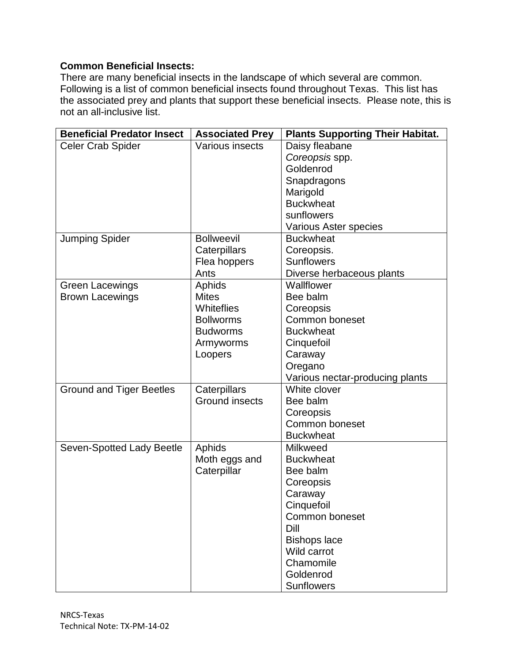## **Common Beneficial Insects:**

There are many beneficial insects in the landscape of which several are common. Following is a list of common beneficial insects found throughout Texas. This list has the associated prey and plants that support these beneficial insects. Please note, this is not an all-inclusive list.

| <b>Beneficial Predator Insect</b> | <b>Associated Prey</b> | <b>Plants Supporting Their Habitat.</b> |
|-----------------------------------|------------------------|-----------------------------------------|
| <b>Celer Crab Spider</b>          | Various insects        | Daisy fleabane                          |
|                                   |                        | Coreopsis spp.                          |
|                                   |                        | Goldenrod                               |
|                                   |                        | Snapdragons                             |
|                                   |                        | Marigold                                |
|                                   |                        | <b>Buckwheat</b>                        |
|                                   |                        | sunflowers                              |
|                                   |                        | Various Aster species                   |
| <b>Jumping Spider</b>             | <b>Bollweevil</b>      | <b>Buckwheat</b>                        |
|                                   | Caterpillars           | Coreopsis.                              |
|                                   | Flea hoppers           | <b>Sunflowers</b>                       |
|                                   | Ants                   | Diverse herbaceous plants               |
| <b>Green Lacewings</b>            | Aphids                 | Wallflower                              |
| <b>Brown Lacewings</b>            | <b>Mites</b>           | Bee balm                                |
|                                   | Whiteflies             | Coreopsis                               |
|                                   | <b>Bollworms</b>       | Common boneset                          |
|                                   | <b>Budworms</b>        | <b>Buckwheat</b>                        |
|                                   | Armyworms              | Cinquefoil                              |
|                                   | Loopers                | Caraway                                 |
|                                   |                        | Oregano                                 |
|                                   |                        | Various nectar-producing plants         |
| <b>Ground and Tiger Beetles</b>   | Caterpillars           | White clover                            |
|                                   | <b>Ground insects</b>  | Bee balm                                |
|                                   |                        | Coreopsis                               |
|                                   |                        | Common boneset                          |
|                                   |                        | <b>Buckwheat</b>                        |
| Seven-Spotted Lady Beetle         | Aphids                 | <b>Milkweed</b>                         |
|                                   | Moth eggs and          | <b>Buckwheat</b>                        |
|                                   | Caterpillar            | Bee balm                                |
|                                   |                        | Coreopsis                               |
|                                   |                        | Caraway                                 |
|                                   |                        | Cinquefoil                              |
|                                   |                        | Common boneset                          |
|                                   |                        | Dill                                    |
|                                   |                        | <b>Bishops lace</b>                     |
|                                   |                        | Wild carrot                             |
|                                   |                        | Chamomile                               |
|                                   |                        | Goldenrod                               |
|                                   |                        | <b>Sunflowers</b>                       |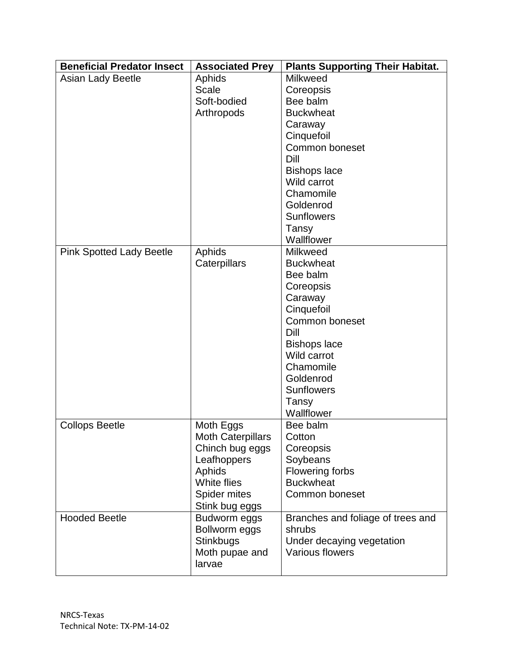| <b>Beneficial Predator Insect</b> | <b>Associated Prey</b>         | <b>Plants Supporting Their Habitat.</b> |
|-----------------------------------|--------------------------------|-----------------------------------------|
| Asian Lady Beetle                 | Aphids                         | <b>Milkweed</b>                         |
|                                   | <b>Scale</b>                   | Coreopsis                               |
|                                   | Soft-bodied                    | Bee balm                                |
|                                   | Arthropods                     | <b>Buckwheat</b>                        |
|                                   |                                | Caraway                                 |
|                                   |                                | Cinquefoil                              |
|                                   |                                | Common boneset                          |
|                                   |                                | Dill                                    |
|                                   |                                | <b>Bishops lace</b>                     |
|                                   |                                | Wild carrot                             |
|                                   |                                | Chamomile                               |
|                                   |                                | Goldenrod                               |
|                                   |                                | <b>Sunflowers</b>                       |
|                                   |                                | Tansy                                   |
|                                   |                                | Wallflower                              |
| <b>Pink Spotted Lady Beetle</b>   | Aphids                         | <b>Milkweed</b>                         |
|                                   | Caterpillars                   | <b>Buckwheat</b>                        |
|                                   |                                | Bee balm                                |
|                                   |                                | Coreopsis                               |
|                                   |                                | Caraway                                 |
|                                   |                                | Cinquefoil                              |
|                                   |                                | Common boneset                          |
|                                   |                                | Dill                                    |
|                                   |                                | <b>Bishops lace</b>                     |
|                                   |                                | Wild carrot                             |
|                                   |                                | Chamomile                               |
|                                   |                                | Goldenrod                               |
|                                   |                                | <b>Sunflowers</b>                       |
|                                   |                                | Tansy                                   |
|                                   |                                | Wallflower                              |
| <b>Collops Beetle</b>             | Moth Eggs                      | Bee balm                                |
|                                   | Moth Caterpillars              | Cotton                                  |
|                                   | Chinch bug eggs                | Coreopsis                               |
|                                   | Leafhoppers                    | Soybeans                                |
|                                   | Aphids                         | <b>Flowering forbs</b>                  |
|                                   | White flies                    | <b>Buckwheat</b>                        |
|                                   | Spider mites<br>Stink bug eggs | Common boneset                          |
| <b>Hooded Beetle</b>              | Budworm eggs                   | Branches and foliage of trees and       |
|                                   | Bollworm eggs                  | shrubs                                  |
|                                   | <b>Stinkbugs</b>               | Under decaying vegetation               |
|                                   | Moth pupae and                 | <b>Various flowers</b>                  |
|                                   | larvae                         |                                         |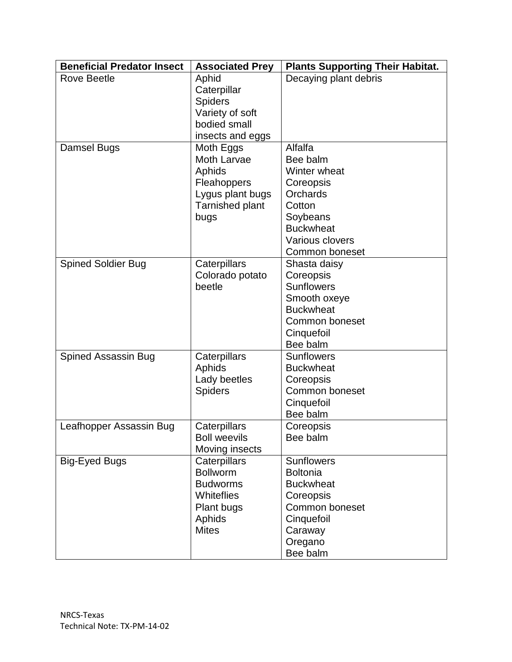| <b>Beneficial Predator Insect</b> | <b>Associated Prey</b> | <b>Plants Supporting Their Habitat.</b> |
|-----------------------------------|------------------------|-----------------------------------------|
| <b>Rove Beetle</b>                | Aphid                  | Decaying plant debris                   |
|                                   | Caterpillar            |                                         |
|                                   | <b>Spiders</b>         |                                         |
|                                   | Variety of soft        |                                         |
|                                   | bodied small           |                                         |
|                                   | insects and eggs       |                                         |
| Damsel Bugs                       | Moth Eggs              | Alfalfa                                 |
|                                   | <b>Moth Larvae</b>     | Bee balm                                |
|                                   | Aphids                 | Winter wheat                            |
|                                   | Fleahoppers            | Coreopsis                               |
|                                   | Lygus plant bugs       | <b>Orchards</b>                         |
|                                   | Tarnished plant        | Cotton                                  |
|                                   | bugs                   | Soybeans                                |
|                                   |                        | <b>Buckwheat</b>                        |
|                                   |                        | Various clovers                         |
|                                   |                        | Common boneset                          |
| <b>Spined Soldier Bug</b>         | Caterpillars           | Shasta daisy                            |
|                                   | Colorado potato        | Coreopsis                               |
|                                   | beetle                 | <b>Sunflowers</b>                       |
|                                   |                        | Smooth oxeye                            |
|                                   |                        | <b>Buckwheat</b>                        |
|                                   |                        | Common boneset                          |
|                                   |                        | Cinquefoil                              |
|                                   |                        | Bee balm                                |
| Spined Assassin Bug               | Caterpillars           | <b>Sunflowers</b>                       |
|                                   | Aphids                 | <b>Buckwheat</b>                        |
|                                   | Lady beetles           | Coreopsis                               |
|                                   | <b>Spiders</b>         | Common boneset                          |
|                                   |                        | Cinquefoil                              |
|                                   |                        | Bee balm                                |
| Leafhopper Assassin Bug           | Caterpillars           | Coreopsis                               |
|                                   | <b>Boll weevils</b>    | Bee balm                                |
|                                   | Moving insects         |                                         |
| <b>Big-Eyed Bugs</b>              | Caterpillars           | <b>Sunflowers</b>                       |
|                                   | <b>Bollworm</b>        | <b>Boltonia</b>                         |
|                                   | <b>Budworms</b>        | <b>Buckwheat</b>                        |
|                                   | <b>Whiteflies</b>      | Coreopsis                               |
|                                   | Plant bugs             | Common boneset                          |
|                                   | Aphids                 | Cinquefoil                              |
|                                   | <b>Mites</b>           | Caraway                                 |
|                                   |                        | Oregano                                 |
|                                   |                        | Bee balm                                |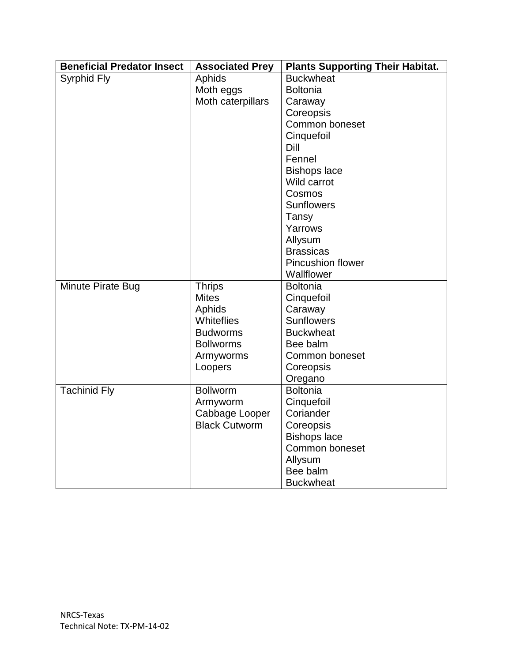| <b>Beneficial Predator Insect</b> | <b>Associated Prey</b> | <b>Plants Supporting Their Habitat.</b> |
|-----------------------------------|------------------------|-----------------------------------------|
| Syrphid Fly                       | Aphids                 | <b>Buckwheat</b>                        |
|                                   | Moth eggs              | <b>Boltonia</b>                         |
|                                   | Moth caterpillars      | Caraway                                 |
|                                   |                        | Coreopsis                               |
|                                   |                        | Common boneset                          |
|                                   |                        | Cinquefoil                              |
|                                   |                        | Dill                                    |
|                                   |                        | Fennel                                  |
|                                   |                        | <b>Bishops lace</b>                     |
|                                   |                        | Wild carrot                             |
|                                   |                        | Cosmos                                  |
|                                   |                        | <b>Sunflowers</b>                       |
|                                   |                        | Tansy                                   |
|                                   |                        | Yarrows                                 |
|                                   |                        | Allysum                                 |
|                                   |                        | <b>Brassicas</b>                        |
|                                   |                        | <b>Pincushion flower</b>                |
|                                   |                        | Wallflower                              |
| Minute Pirate Bug                 | <b>Thrips</b>          | <b>Boltonia</b>                         |
|                                   | <b>Mites</b>           | Cinquefoil                              |
|                                   | Aphids                 | Caraway                                 |
|                                   | Whiteflies             | <b>Sunflowers</b>                       |
|                                   | <b>Budworms</b>        | <b>Buckwheat</b>                        |
|                                   | <b>Bollworms</b>       | Bee balm                                |
|                                   | Armyworms              | Common boneset                          |
|                                   | Loopers                | Coreopsis                               |
|                                   |                        | Oregano                                 |
| <b>Tachinid Fly</b>               | <b>Bollworm</b>        | <b>Boltonia</b>                         |
|                                   | Armyworm               | Cinquefoil                              |
|                                   | Cabbage Looper         | Coriander                               |
|                                   | <b>Black Cutworm</b>   | Coreopsis                               |
|                                   |                        | <b>Bishops lace</b>                     |
|                                   |                        | Common boneset                          |
|                                   |                        | Allysum                                 |
|                                   |                        | Bee balm                                |
|                                   |                        | <b>Buckwheat</b>                        |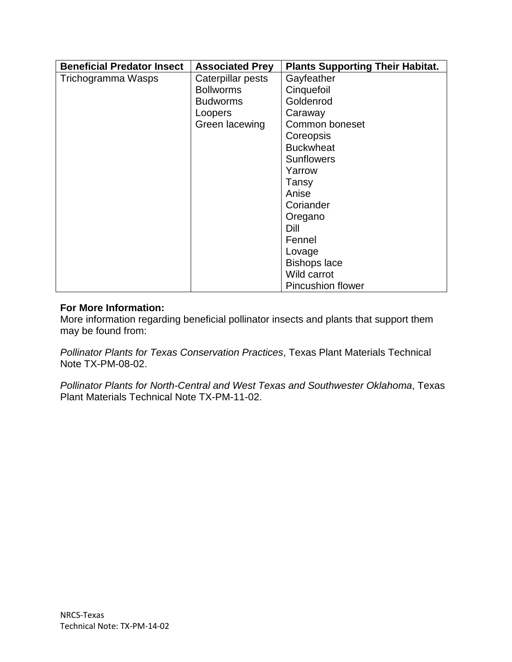| <b>Beneficial Predator Insect</b> | <b>Associated Prey</b> | <b>Plants Supporting Their Habitat.</b> |
|-----------------------------------|------------------------|-----------------------------------------|
| Trichogramma Wasps                | Caterpillar pests      | Gayfeather                              |
|                                   | <b>Bollworms</b>       | Cinquefoil                              |
|                                   | <b>Budworms</b>        | Goldenrod                               |
|                                   | Loopers                | Caraway                                 |
|                                   | Green lacewing         | Common boneset                          |
|                                   |                        | Coreopsis                               |
|                                   |                        | <b>Buckwheat</b>                        |
|                                   |                        | <b>Sunflowers</b>                       |
|                                   |                        | Yarrow                                  |
|                                   |                        | Tansy                                   |
|                                   |                        | Anise                                   |
|                                   |                        | Coriander                               |
|                                   |                        | Oregano                                 |
|                                   |                        | Dill                                    |
|                                   |                        | Fennel                                  |
|                                   |                        | Lovage                                  |
|                                   |                        | <b>Bishops lace</b>                     |
|                                   |                        | Wild carrot                             |
|                                   |                        | <b>Pincushion flower</b>                |

## **For More Information:**

More information regarding beneficial pollinator insects and plants that support them may be found from:

*Pollinator Plants for Texas Conservation Practices*, Texas Plant Materials Technical Note TX-PM-08-02.

*Pollinator Plants for North-Central and West Texas and Southwester Oklahoma*, Texas Plant Materials Technical Note TX-PM-11-02.